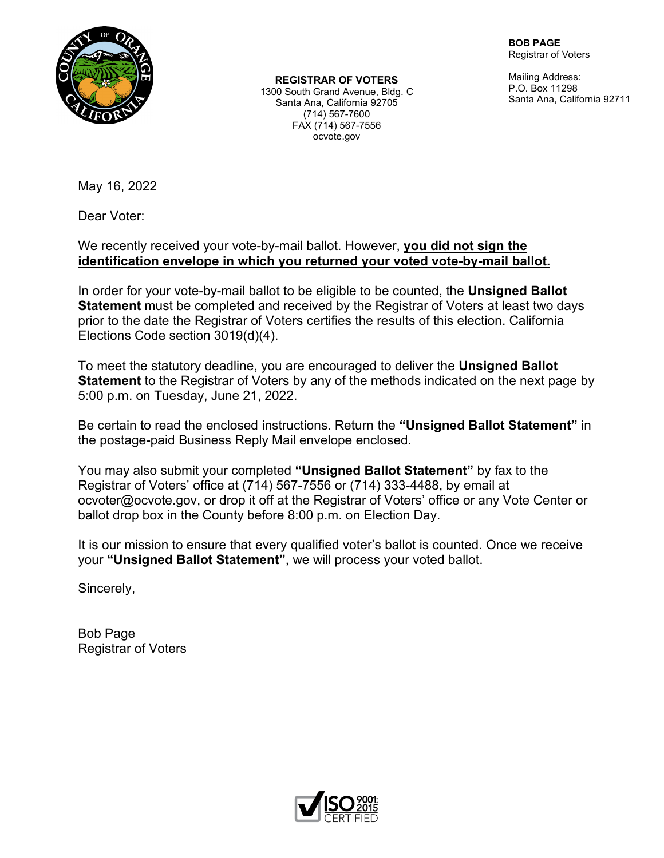

**REGISTRAR OF VOTERS**

1300 South Grand Avenue, Bldg. C Santa Ana, California 92705 (714) 567-7600 FAX (714) 567-7556 ocvote.gov

**BOB PAGE** Registrar of Voters

Mailing Address: P.O. Box 11298 Santa Ana, California 92711

May 16, 2022

Dear Voter:

We recently received your vote-by-mail ballot. However, **you did not sign the identification envelope in which you returned your voted vote-by-mail ballot.**

In order for your vote-by-mail ballot to be eligible to be counted, the **Unsigned Ballot Statement** must be completed and received by the Registrar of Voters at least two days prior to the date the Registrar of Voters certifies the results of this election. California Elections Code section 3019(d)(4).

To meet the statutory deadline, you are encouraged to deliver the **Unsigned Ballot Statement** to the Registrar of Voters by any of the methods indicated on the next page by 5:00 p.m. on Tuesday, June 21, 2022.

Be certain to read the enclosed instructions. Return the **"Unsigned Ballot Statement"** in the postage-paid Business Reply Mail envelope enclosed.

You may also submit your completed **"Unsigned Ballot Statement"** by fax to the Registrar of Voters' office at (714) 567-7556 or (714) 333-4488, by email at ocvoter@ocvote.gov, or drop it off at the Registrar of Voters' office or any Vote Center or ballot drop box in the County before 8:00 p.m. on Election Day.

It is our mission to ensure that every qualified voter's ballot is counted. Once we receive your **"Unsigned Ballot Statement"**, we will process your voted ballot.

Sincerely,

Bob Page Registrar of Voters

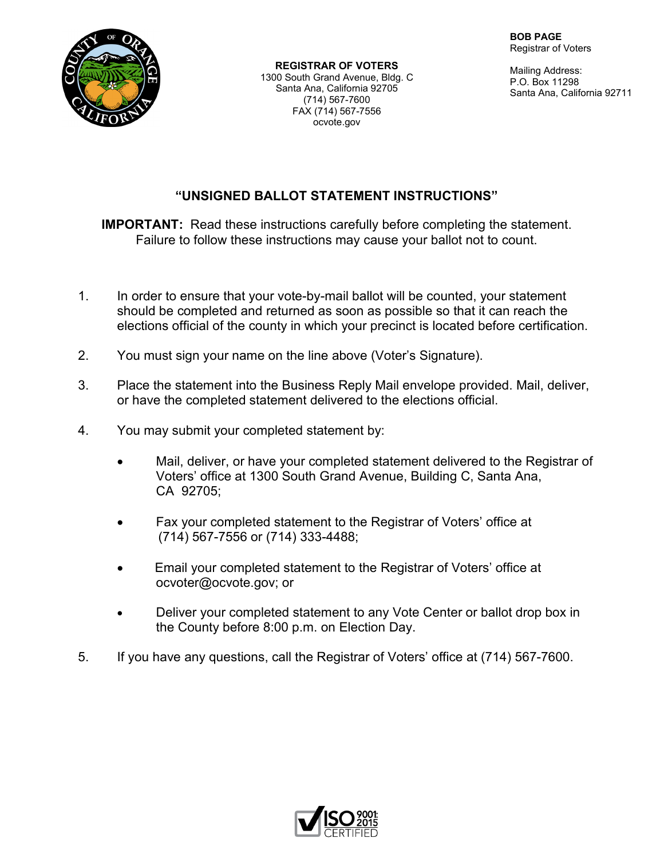

**REGISTRAR OF VOTERS** 1300 South Grand Avenue, Bldg. C Santa Ana, California 92705 (714) 567-7600 FAX (714) 567-7556 ocvote.gov

Mailing Address: P.O. Box 11298 Santa Ana, California 92711

## **"UNSIGNED BALLOT STATEMENT INSTRUCTIONS"**

**IMPORTANT:** Read these instructions carefully before completing the statement. Failure to follow these instructions may cause your ballot not to count.

- 1. In order to ensure that your vote-by-mail ballot will be counted, your statement should be completed and returned as soon as possible so that it can reach the elections official of the county in which your precinct is located before certification.
- 2. You must sign your name on the line above (Voter's Signature).
- 3. Place the statement into the Business Reply Mail envelope provided. Mail, deliver, or have the completed statement delivered to the elections official.
- 4. You may submit your completed statement by:
	- Mail, deliver, or have your completed statement delivered to the Registrar of Voters' office at 1300 South Grand Avenue, Building C, Santa Ana, CA 92705;
	- Fax your completed statement to the Registrar of Voters' office at (714) 567-7556 or (714) 333-4488;
	- Email your completed statement to the Registrar of Voters' office at ocvoter@ocvote.gov; or
	- Deliver your completed statement to any Vote Center or ballot drop box in the County before 8:00 p.m. on Election Day.
- 5. If you have any questions, call the Registrar of Voters' office at (714) 567-7600.